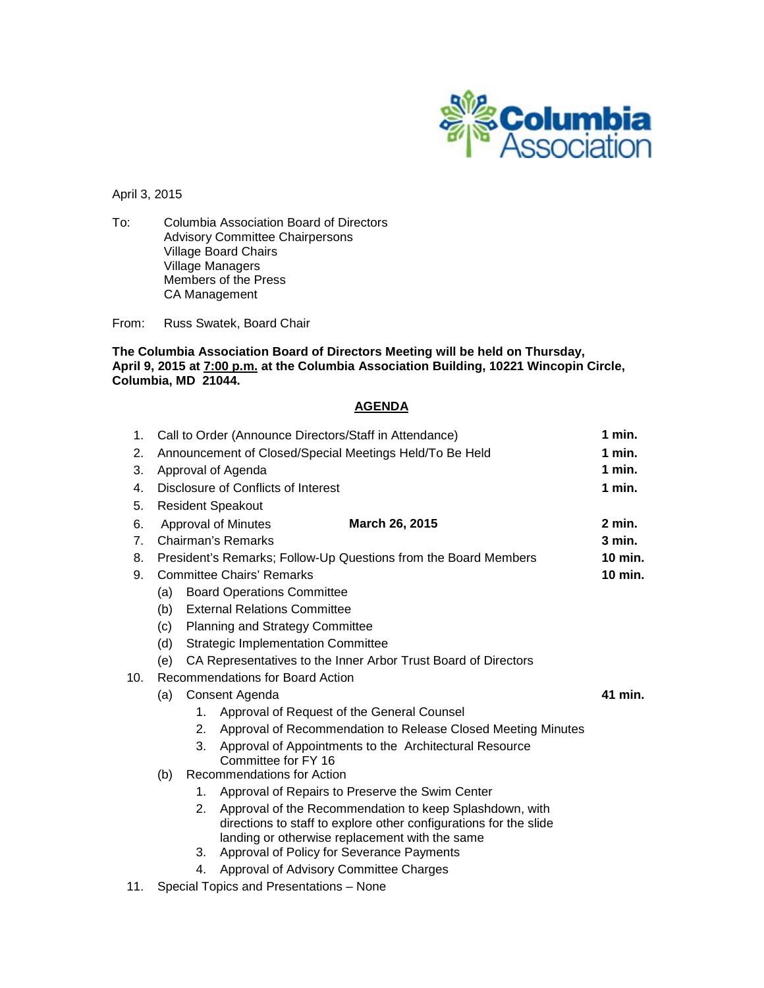

April 3, 2015

To: Columbia Association Board of Directors Advisory Committee Chairpersons Village Board Chairs Village Managers Members of the Press CA Management

From: Russ Swatek, Board Chair

**The Columbia Association Board of Directors Meeting will be held on Thursday, April 9, 2015 at 7:00 p.m. at the Columbia Association Building, 10221 Wincopin Circle, Columbia, MD 21044.**

### **AGENDA**

| 1.  | Call to Order (Announce Directors/Staff in Attendance)                |                                                                            |                                                                                                                                                                                |  |  |  |  |  |  |  |
|-----|-----------------------------------------------------------------------|----------------------------------------------------------------------------|--------------------------------------------------------------------------------------------------------------------------------------------------------------------------------|--|--|--|--|--|--|--|
| 2.  | Announcement of Closed/Special Meetings Held/To Be Held               |                                                                            |                                                                                                                                                                                |  |  |  |  |  |  |  |
| 3.  | Approval of Agenda                                                    |                                                                            |                                                                                                                                                                                |  |  |  |  |  |  |  |
| 4.  | Disclosure of Conflicts of Interest                                   |                                                                            |                                                                                                                                                                                |  |  |  |  |  |  |  |
| 5.  |                                                                       | <b>Resident Speakout</b>                                                   |                                                                                                                                                                                |  |  |  |  |  |  |  |
| 6.  | Approval of Minutes<br>March 26, 2015                                 |                                                                            |                                                                                                                                                                                |  |  |  |  |  |  |  |
| 7.  | Chairman's Remarks                                                    |                                                                            |                                                                                                                                                                                |  |  |  |  |  |  |  |
| 8.  |                                                                       | 10 min.<br>President's Remarks; Follow-Up Questions from the Board Members |                                                                                                                                                                                |  |  |  |  |  |  |  |
| 9.  |                                                                       | <b>Committee Chairs' Remarks</b>                                           | $10$ min.                                                                                                                                                                      |  |  |  |  |  |  |  |
|     | <b>Board Operations Committee</b><br>(a)                              |                                                                            |                                                                                                                                                                                |  |  |  |  |  |  |  |
|     | <b>External Relations Committee</b><br>(b)                            |                                                                            |                                                                                                                                                                                |  |  |  |  |  |  |  |
|     | (c)<br><b>Planning and Strategy Committee</b>                         |                                                                            |                                                                                                                                                                                |  |  |  |  |  |  |  |
|     | <b>Strategic Implementation Committee</b><br>(d)                      |                                                                            |                                                                                                                                                                                |  |  |  |  |  |  |  |
|     | CA Representatives to the Inner Arbor Trust Board of Directors<br>(e) |                                                                            |                                                                                                                                                                                |  |  |  |  |  |  |  |
| 10. | Recommendations for Board Action                                      |                                                                            |                                                                                                                                                                                |  |  |  |  |  |  |  |
|     | Consent Agenda<br>(a)                                                 |                                                                            |                                                                                                                                                                                |  |  |  |  |  |  |  |
|     |                                                                       | 1.                                                                         | Approval of Request of the General Counsel                                                                                                                                     |  |  |  |  |  |  |  |
|     |                                                                       | 2.                                                                         | Approval of Recommendation to Release Closed Meeting Minutes                                                                                                                   |  |  |  |  |  |  |  |
|     |                                                                       | 3.                                                                         | Approval of Appointments to the Architectural Resource<br>Committee for FY 16                                                                                                  |  |  |  |  |  |  |  |
|     | Recommendations for Action<br>(b)                                     |                                                                            |                                                                                                                                                                                |  |  |  |  |  |  |  |
|     |                                                                       | 1.                                                                         | Approval of Repairs to Preserve the Swim Center                                                                                                                                |  |  |  |  |  |  |  |
|     |                                                                       | 2.                                                                         | Approval of the Recommendation to keep Splashdown, with<br>directions to staff to explore other configurations for the slide<br>landing or otherwise replacement with the same |  |  |  |  |  |  |  |
|     |                                                                       | 3.                                                                         | Approval of Policy for Severance Payments                                                                                                                                      |  |  |  |  |  |  |  |
|     |                                                                       | 4.                                                                         | Approval of Advisory Committee Charges                                                                                                                                         |  |  |  |  |  |  |  |

11. Special Topics and Presentations – None